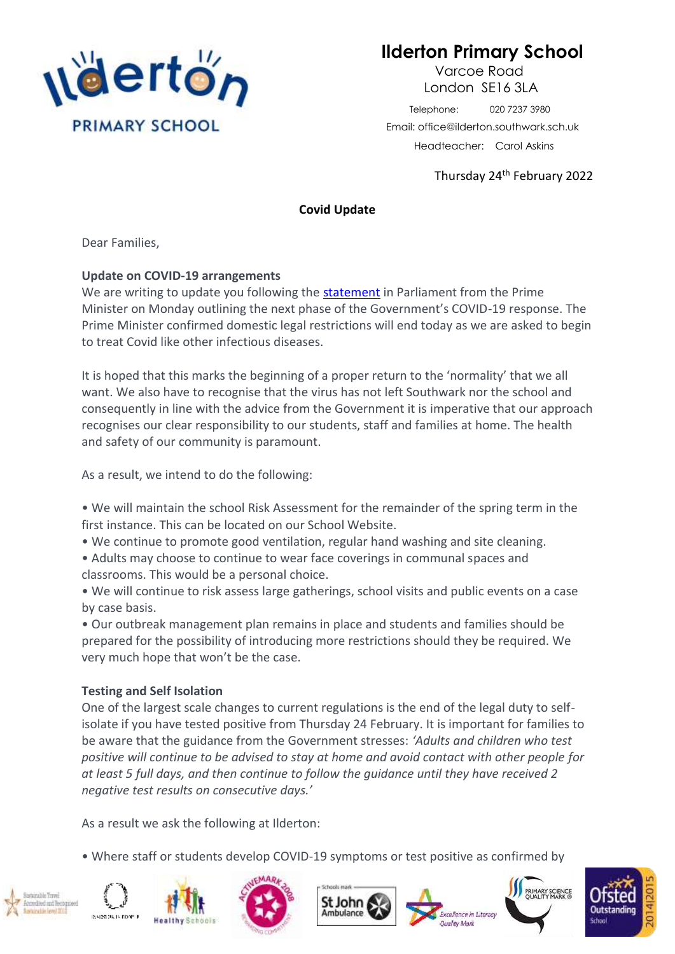

## **Ilderton Primary School**

 Varcoe Road London SE16 3LA

 Telephone: 020 7237 3980 Email: office@ilderton.southwark.sch.uk Headteacher: Carol Askins

Thursday 24th February 2022

## **Covid Update**

Dear Families,

## **Update on COVID-19 arrangements**

We are writing to update you following the [statement](https://www.gov.uk/government/speeches/pm-statement-on-living-with-covid-21-february-2022) in Parliament from the Prime Minister on Monday outlining the next phase of the Government's COVID-19 response. The Prime Minister confirmed domestic legal restrictions will end today as we are asked to begin to treat Covid like other infectious diseases.

It is hoped that this marks the beginning of a proper return to the 'normality' that we all want. We also have to recognise that the virus has not left Southwark nor the school and consequently in line with the advice from the Government it is imperative that our approach recognises our clear responsibility to our students, staff and families at home. The health and safety of our community is paramount.

As a result, we intend to do the following:

- We will maintain the school Risk Assessment for the remainder of the spring term in the first instance. This can be located on our School Website.
- We continue to promote good ventilation, regular hand washing and site cleaning.
- Adults may choose to continue to wear face coverings in communal spaces and classrooms. This would be a personal choice.
- We will continue to risk assess large gatherings, school visits and public events on a case by case basis.

• Our outbreak management plan remains in place and students and families should be prepared for the possibility of introducing more restrictions should they be required. We very much hope that won't be the case.

## **Testing and Self Isolation**

One of the largest scale changes to current regulations is the end of the legal duty to selfisolate if you have tested positive from Thursday 24 February. It is important for families to be aware that the guidance from the Government stresses: *'Adults and children who test positive will continue to be advised to stay at home and avoid contact with other people for at least 5 full days, and then continue to follow the guidance until they have received 2 negative test results on consecutive days.'*

As a result we ask the following at Ilderton:

• Where staff or students develop COVID-19 symptoms or test positive as confirmed by